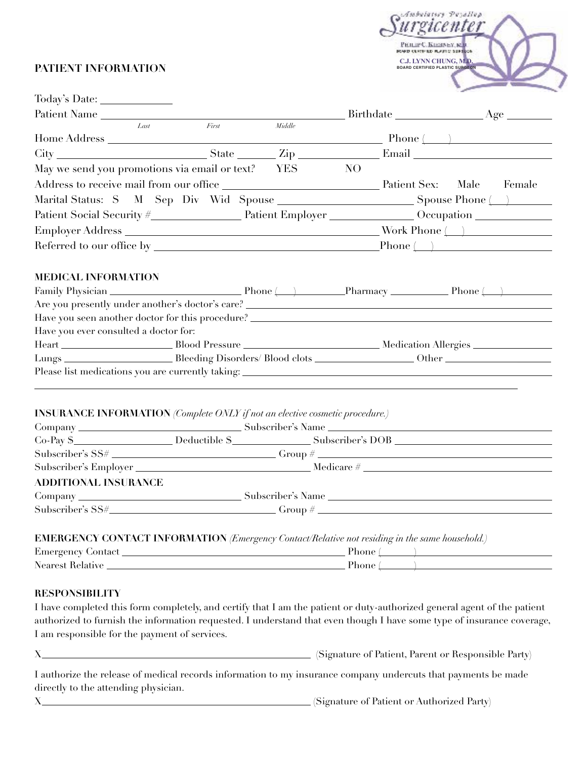### **PATIENT INFORMATION**



| Patient Name                                                                                                                                             |       |              |     |  |  |  |
|----------------------------------------------------------------------------------------------------------------------------------------------------------|-------|--------------|-----|--|--|--|
| Last                                                                                                                                                     | First | $\it Middle$ |     |  |  |  |
|                                                                                                                                                          |       |              |     |  |  |  |
|                                                                                                                                                          |       |              |     |  |  |  |
| May we send you promotions via email or text? YES                                                                                                        |       |              | NO. |  |  |  |
|                                                                                                                                                          |       |              |     |  |  |  |
|                                                                                                                                                          |       |              |     |  |  |  |
|                                                                                                                                                          |       |              |     |  |  |  |
|                                                                                                                                                          |       |              |     |  |  |  |
|                                                                                                                                                          |       |              |     |  |  |  |
| <b>MEDICAL INFORMATION</b><br>Have you seen another doctor for this procedure? ________________________________<br>Have you ever consulted a doctor for: |       |              |     |  |  |  |
|                                                                                                                                                          |       |              |     |  |  |  |
|                                                                                                                                                          |       |              |     |  |  |  |
| <b>INSURANCE INFORMATION</b> (Complete ONLY if not an elective cosmetic procedure.)                                                                      |       |              |     |  |  |  |
|                                                                                                                                                          |       |              |     |  |  |  |
| Co-Pay \$___________________Deductible \$________________Subscriber's DOB ____________________________                                                   |       |              |     |  |  |  |
| $Subscripter's SS# _______ Group # _______ Group$                                                                                                        |       |              |     |  |  |  |
|                                                                                                                                                          |       |              |     |  |  |  |

## **ADDITIONAL INSURANCE**

Company Subscriber's Name  $\text{Subscripter's }\text{SS}\#$  Group  $\#$  Group  $\#$  Group  $\#$  Group  $\#$  Group  $\#$  Group  $\#$  Group  $\#$  Group  $\#$  Group  $\#$  Group  $\#$  Group  $\#$  Group  $\#$  Group  $\#$  Group  $\#$  Group  $\#$  Group  $\#$  Group  $\#$  Group  $\#$  Group

**EMERGENCY CONTACT INFORMATION** *(Emergency Contact/Relative not residing in the same household.)* 

| Emergency<br>Contact   | 'hone |  |
|------------------------|-------|--|
| Nearest.<br>. Kelative | 'hone |  |

#### **RESPONSIBILITY**

I have completed this form completely, and certify that I am the patient or duty-authorized general agent of the patient authorized to furnish the information requested. I understand that even though I have some type of insurance coverage, I am responsible for the payment of services.

X (Signature of Patient, Parent or Responsible Party)

I authorize the release of medical records information to my insurance company undercuts that payments be made directly to the attending physician.

X (Signature of Patient or Authorized Party)